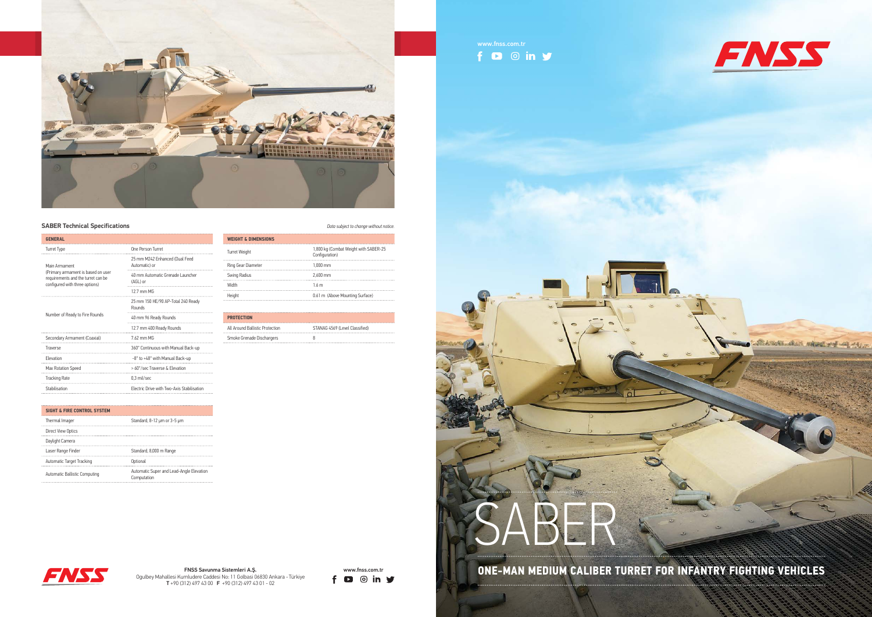



MASSAS CALL MARKETING LOS F<sub>N</sub> The Sacred A.S. **Contrary Signal Sistema Single A.S. <b>ONE-MAN MEDIUM CALIBER TURRET FOR INFANTRY FIGHTING VEHICLES** 

SABER

 $f \bullet \circ in \mathcal{Y}$ 



Ogulbey Mahallesi Kumludere Caddesi No: 11 Golbasi 06830 Ankara - Türkiye T +90 (312) 497 43 00 F +90 (312) 497 43 01 - 02



## **SABER Technical Specifications** *Data subject to change without notice.*

| <b>GENERAL</b>                                                                                             |                                                   |
|------------------------------------------------------------------------------------------------------------|---------------------------------------------------|
| Turret Type                                                                                                | One Person Turret                                 |
| Main Armament                                                                                              | 25 mm M242 Enhanced (Dual Feed<br>Automatic) or   |
| (Primary armament is based on user<br>requirements and the turret can be<br>configured with three options) | 40 mm Automatic Grenade Launcher<br>(AGL) or      |
|                                                                                                            | $12.7$ mm MG                                      |
|                                                                                                            | 25 mm 150 HE/90 AP-Total 240 Ready<br>Rounds      |
| Number of Ready to Fire Rounds                                                                             | 40 mm 96 Ready Rounds                             |
|                                                                                                            | 12.7 mm 400 Ready Rounds                          |
| Secondary Armament (Coaxial)                                                                               | 7.62 mm MG                                        |
| Traverse                                                                                                   | 360° Continuous with Manual Back-up               |
| Flevation                                                                                                  | -8° to +48° with Manual Back-up                   |
| Max Rotation Speed                                                                                         | > 60°/sec Traverse & Elevation                    |
| <b>Tracking Rate</b>                                                                                       | 0.3 mil/sec                                       |
| Stabilisation                                                                                              | <b>Electric Drive with Two-Axis Stabilisation</b> |
|                                                                                                            |                                                   |

|  | iata subject to change witnout notice. |  |
|--|----------------------------------------|--|
|  |                                        |  |

## **SIGHT & FIRE CONTROL SYSTEM** Thermal Imager Standard, 8-12 µm or 3-5 µm Direct View Optics Daylight Camera Laser Range Finder Standard, 8,000 m Range Automatic Target Tracking **Contact Control** Optional Automatic Ballistic Computing<br>
Computation<br>
Computation Computation

| <b>WEIGHT &amp; DIMENSIONS</b> |                                                         |
|--------------------------------|---------------------------------------------------------|
| <b>Turret Weight</b>           | 1,800 kg (Combat Weight with SABER-25<br>Configuration) |
| Ring Gear Diameter             | $1.000$ mm                                              |
| Swing Radius                   | 2.600 mm                                                |
| Width                          | 1 6 m                                                   |
|                                | 0.61 m (Above Mounting Surface)                         |
|                                |                                                         |

| <b>PROTECTION</b>               |                                |
|---------------------------------|--------------------------------|
| All Around Ballistic Protection | STANAG 4569 (Level Classified) |
| Smoke Grenade Dischargers       |                                |